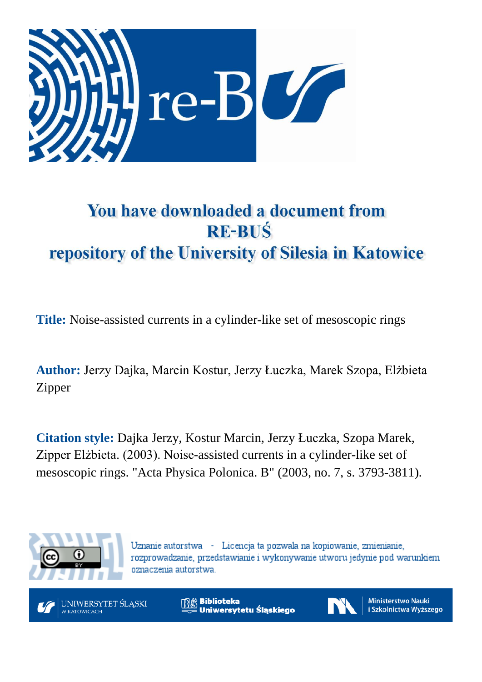

# You have downloaded a document from **RE-BUŚ** repository of the University of Silesia in Katowice

**Title:** Noise-assisted currents in a cylinder-like set of mesoscopic rings

**Author:** Jerzy Dajka, Marcin Kostur, Jerzy Łuczka, Marek Szopa, Elżbieta Zipper

**Citation style:** Dajka Jerzy, Kostur Marcin, Jerzy Łuczka, Szopa Marek, Zipper Elżbieta. (2003). Noise-assisted currents in a cylinder-like set of mesoscopic rings. "Acta Physica Polonica. B" (2003, no. 7, s. 3793-3811).



Uznanie autorstwa - Licencja ta pozwala na kopiowanie, zmienianie, rozprowadzanie, przedstawianie i wykonywanie utworu jedynie pod warunkiem oznaczenia autorstwa.



**Biblioteka** Uniwersytetu Śląskiego



**Ministerstwo Nauki** i Szkolnictwa Wyższego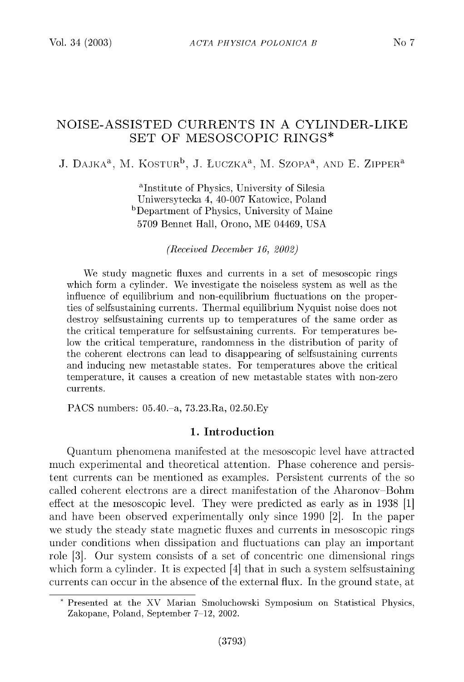## NOISE-ASSISTED CURRENTS IN A CYLINDER-LIKE SET OF MESOSCOPIC RINGS\*

J. DAJKA<sup>a</sup>, M. KOSTUR<sup>b</sup>, J. ŁUCZKA<sup>a</sup>, M. SZOPA<sup>a</sup>, AND E. ZIPPER<sup>a</sup>

<sup>a</sup>Institute of Physics, University of Silesia Uniwersytecka 4, 40-007 Katowice, Poland bDepartment of Physics, University of Maine 5709 Bennet Hall, Orono, ME 04469, USA

*(Received December 16, 2002)*

We study magnetic fluxes and currents in a set of mesoscopic rings which form a cylinder. We investigate the noiseless system as well as the influence of equilibrium and non-equilibrium fluctuations on the properties of selfsustaining currents. Thermal equilibrium Nyquist noise does not destroy selfsustaining currents up to temperatures of the same order as the critical temperature for selfsustaining currents. For temperatures below the critical temperature, randomness in the distribution of parity of the coherent electrons can lead to disappearing of selfsustaining currents and inducing new metastable states. For temperatures above the critical temperature, it causes a creation of new metastable states with non-zero currents.

PACS numbers: 05.40.-a, 73.23.Ra, 02.50.Ey

## **1. In tro d u ctio n**

Quantum phenomena manifested at the mesoscopic level have attracted much experimental and theoretical attention. Phase coherence and persistent currents can be mentioned as examples. Persistent currents of the so called coherent electrons are a direct manifestation of the Aharonov-Bohm effect at the mesoscopic level. They were predicted as early as in  $1938$  [1] and have been observed experimentally only since 1990 [2]. In the paper we study the steady state magnetic fluxes and currents in mesoscopic rings under conditions when dissipation and fluctuations can play an important role [3]. Our system consists of a set of concentric one dimensional rings which form a cylinder. It is expected  $[4]$  that in such a system selfsustaining currents can occur in the absence of the external flux. In the ground state, at

<sup>\*</sup> Presented at the XV Marian Smoluchowski Symposium on Statistical Physics, Zakopane, Poland, September 7-12, 2002.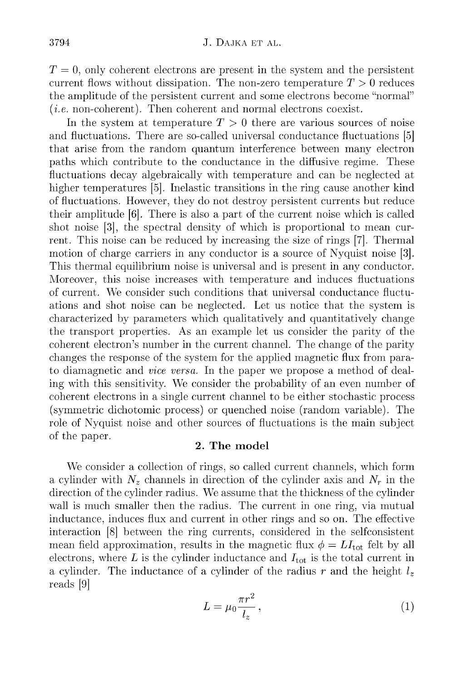$T = 0$ , only coherent electrons are present in the system and the persistent current flows without dissipation. The non-zero temperature  $T > 0$  reduces the amplitude of the persistent current and some electrons become "normal"  $(i.e.$  non-coherent). Then coherent and normal electrons coexist.

In the system at temperature  $T > 0$  there are various sources of noise and fluctuations. There are so-called universal conductance fluctuations [5] that arise from the random quantum interference between many electron paths which contribute to the conductance in the diffusive regime. These fluctuations decay algebraically with temperature and can be neglected at higher temperatures [5]. Inelastic transitions in the ring cause another kind of fluctuations. However, they do not destroy persistent currents but reduce their amplitude [6]. There is also a part of the current noise which is called shot noise [3], the spectral density of which is proportional to mean current. This noise can be reduced by increasing the size of rings [7]. Thermal motion of charge carriers in any conductor is a source of Nyquist noise [3]. This thermal equilibrium noise is universal and is present in any conductor. Moreover, this noise increases with temperature and induces fluctuations of current. We consider such conditions that universal conductance fluctuations and shot noise can be neglected. Let us notice that the system is characterized by parameters which qualitatively and quantitatively change the transport properties. As an example let us consider the parity of the coherent electron's number in the current channel. The change of the parity changes the response of the system for the applied magnetic flux from parato diamagnetic and *vice versa*. In the paper we propose a method of dealing with this sensitivity. We consider the probability of an even number of coherent electrons in a single current channel to be either stochastic process (symmetric dichotomic process) or quenched noise (random variable). The role of Nyquist noise and other sources of fluctuations is the main subject of the paper.

## 2. The model

We consider a collection of rings, so called current channels, which form a cylinder with  $N_z$  channels in direction of the cylinder axis and  $N_r$  in the direction of the cylinder radius. We assume that the thickness of the cylinder wall is much smaller then the radius. The current in one ring, via mutual inductance, induces flux and current in other rings and so on. The effective interaction [8] between the ring currents, considered in the selfconsistent mean field approximation, results in the magnetic flux  $\phi = LI_{\text{tot}}$  felt by all electrons, where  $L$  is the cylinder inductance and  $I_{\text{tot}}$  is the total current in a cylinder. The inductance of a cylinder of the radius r and the height  $l_z$ reads [9]

$$
L = \mu_0 \frac{\pi r^2}{l_z},\tag{1}
$$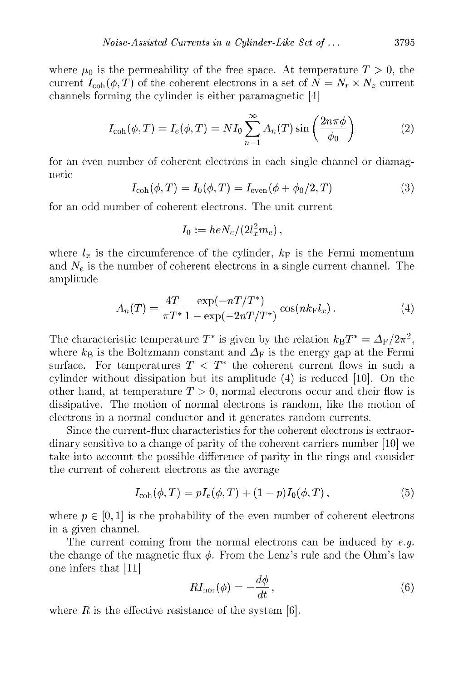where  $\mu_0$  is the permeability of the free space. At temperature  $T > 0$ , the current  $I_{\text{coh}}(\phi, T)$  of the coherent electrons in a set of  $N = N_r \times N_z$  current channels forming the cylinder is either paramagnetic  $[4]$ 

$$
I_{\text{coh}}(\phi, T) = I_e(\phi, T) = NI_0 \sum_{n=1}^{\infty} A_n(T) \sin\left(\frac{2n\pi\phi}{\phi_0}\right)
$$
 (2)

for an even number of coherent electrons in each single channel or diamagnetic

$$
I_{\rm coh}(\phi, T) = I_0(\phi, T) = I_{\rm even}(\phi + \phi_0/2, T)
$$
\n(3)

for an odd number of coherent electrons. The unit current

$$
I_0:=heN_e/(2l_x^2m_e)\,,
$$

where  $l_x$  is the circumference of the cylinder,  $k_F$  is the Fermi momentum and  $N_e$  is the number of coherent electrons in a single current channel. The amplitude

$$
A_n(T) = \frac{4T}{\pi T^*} \frac{\exp(-nT/T^*)}{1 - \exp(-2nT/T^*)} \cos(nk_{\rm F}l_x). \tag{4}
$$

The characteristic temperature  $T^*$  is given by the relation  $k_B T^* = \Delta_F/2\pi^2$ , where  $k_B$  is the Boltzmann constant and  $\Delta_F$  is the energy gap at the Fermi surface. For temperatures  $T < T^*$  the coherent current flows in such a cylinder without dissipation but its amplitude  $(4)$  is reduced  $[10]$ . On the other hand, at temperature  $T > 0$ , normal electrons occur and their flow is dissipative. The motion of normal electrons is random, like the motion of electrons in a normal conductor and it generates random currents.

Since the current-flux characteristics for the coherent electrons is extraordin ary sensitive to a change of parity of the coherent carriers number  $[10]$  we take into account the possible difference of parity in the rings and consider the current of coherent electrons as the average

$$
I_{\rm coh}(\phi, T) = pI_e(\phi, T) + (1 - p)I_0(\phi, T), \qquad (5)
$$

where  $p \in [0, 1]$  is the probability of the even number of coherent electrons in a given channel.

The current coming from the normal electrons can be induced by *e.g.* the change of the magnetic flux  $\phi$ . From the Lenz's rule and the Ohm's law one infers that [11]

$$
RI_{\rm nor}(\phi) = -\frac{d\phi}{dt},\qquad(6)
$$

where  $R$  is the effective resistance of the system  $[6]$ .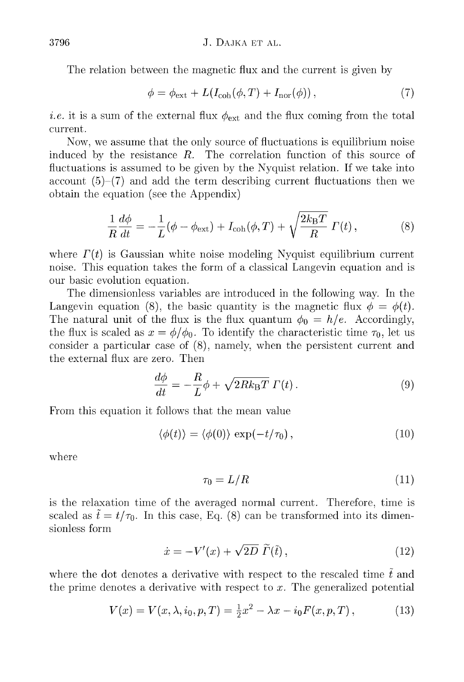The relation between the magnetic flux and the current is given by

$$
\phi = \phi_{\text{ext}} + L(I_{\text{coh}}(\phi, T) + I_{\text{nor}}(\phi)), \qquad (7)
$$

*i.e.* it is a sum of the external flux  $\phi_{\text{ext}}$  and the flux coming from the total current.

Now, we assume that the only source of fluctuations is equilibrium noise induced by the resistance  $R$ . The correlation function of this source of fluctuations is assumed to be given by the Nyquist relation. If we take into account  $(5)-(7)$  and add the term describing current fluctuations then we obtain the equation (see the Appendix)

$$
\frac{1}{R}\frac{d\phi}{dt} = -\frac{1}{L}(\phi - \phi_{\text{ext}}) + I_{\text{coh}}(\phi, T) + \sqrt{\frac{2k_{\text{B}}T}{R}}\Gamma(t)\,,\tag{8}
$$

where  $\Gamma(t)$  is Gaussian white noise modeling Nyquist equilibrium current noise. This equation takes the form of a classical Langevin equation and is our basic evolution equation.

The dimensionless variables are introduced in the following way. In the Langevin equation (8), the basic quantity is the magnetic flux  $\phi = \phi(t)$ . The natural unit of the flux is the flux quantum  $\phi_0 = h/e$ . Accordingly, the flux is scaled as  $x = \phi/\phi_0$ . To identify the characteristic time  $\tau_0$ , let us consider a particular case of  $(8)$ , namely, when the persistent current and the external flux are zero. Then

$$
\frac{d\phi}{dt} = -\frac{R}{L}\phi + \sqrt{2Rk_{\rm B}T} \Gamma(t). \tag{9}
$$

From this equation it follows that the mean value

$$
\langle \phi(t) \rangle = \langle \phi(0) \rangle \, \exp(-t/\tau_0), \tag{10}
$$

where

$$
\tau_0 = L/R \tag{11}
$$

is the relaxation time of the averaged normal current. Therefore, time is scaled as  $\tilde{t} = t/\tau_0$ . In this case, Eq. (8) can be transformed into its dimensionless form

$$
\dot{x} = -V'(x) + \sqrt{2D} \ \widetilde{\Gamma}(\tilde{t}), \tag{12}
$$

where the dot denotes a derivative with respect to the rescaled time  $\tilde{t}$  and the prime denotes a derivative with respect to  $x$ . The generalized potential

$$
V(x) = V(x, \lambda, i_0, p, T) = \frac{1}{2}x^2 - \lambda x - i_0 F(x, p, T),
$$
 (13)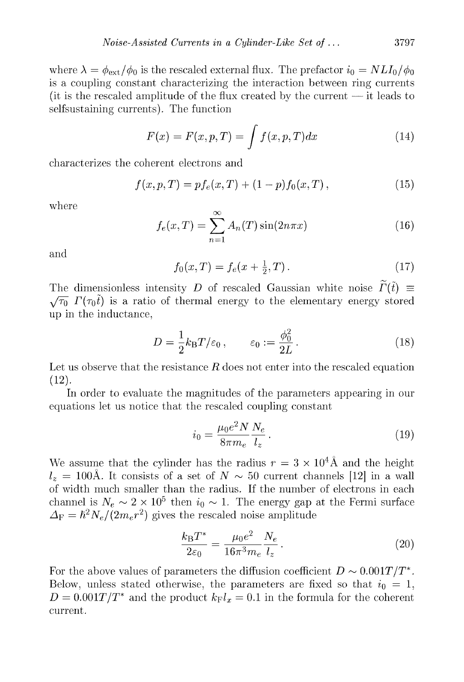where  $\lambda = \phi_{\text{ext}}/\phi_0$  is the rescaled external flux. The prefactor  $i_0 = NL I_0/\phi_0$ is a coupling constant characterizing the interaction between ring currents (it is the rescaled amplitude of the flux created by the current  $-$  it leads to selfsustaining currents). The function

$$
F(x) = F(x, p, T) = \int f(x, p, T) dx \qquad (14)
$$

characterizes the coherent electrons and

$$
f(x, p, T) = p f_e(x, T) + (1 - p) f_0(x, T), \qquad (15)
$$

where

$$
f_e(x,T) = \sum_{n=1}^{\infty} A_n(T) \sin(2n\pi x)
$$
 (16)

and

$$
f_0(x,T) = f_e(x + \frac{1}{2},T). \tag{17}
$$

The dimensionless intensity *D* of rescaled Gaussian white noise  $\tilde{\Gamma}(\tilde{t}) \equiv$  $\sqrt{\tau_0} \Gamma(\tau_0 t)$  is a ratio of thermal energy to the elementary energy stored up in the inductance.

$$
D = \frac{1}{2}k_{\rm B}T/\varepsilon_0 \,, \qquad \varepsilon_0 := \frac{\phi_0^2}{2L} \,. \tag{18}
$$

Let us observe that the resistance  $R$  does not enter into the rescaled equation ( **12**).

In order to evaluate the magnitudes of the parameters appearing in our equations let us notice that the rescaled coupling constant

$$
i_0 = \frac{\mu_0 e^2 N}{8\pi m_e} \frac{N_e}{l_z} \,. \tag{19}
$$

We assume that the cylinder has the radius  $r = 3 \times 10^4$  Å and the height  $l_z = 100$ Å. It consists of a set of  $N \sim 50$  current channels [12] in a wall of width much smaller than the radius. If the number of electrons in each channel is  $N_e \sim 2 \times 10^5$  then  $i_0 \sim 1$ . The energy gap at the Fermi surface  $\Delta_{\rm F} = \hbar^2 N_e / (2 m_e r^2)$  gives the rescaled noise amplitude

$$
\frac{k_{\rm B}T^*}{2\varepsilon_0} = \frac{\mu_0 e^2}{16\pi^3 m_e} \frac{N_e}{l_z} \,. \tag{20}
$$

For the above values of parameters the diffusion coefficient  $D \sim 0.001T/T^*$ . Below, unless stated otherwise, the parameters are fixed so that  $i_0 = 1$ ,  $D = 0.001T/T^*$  and the product  $k_F l_x = 0.1$  in the formula for the coherent current.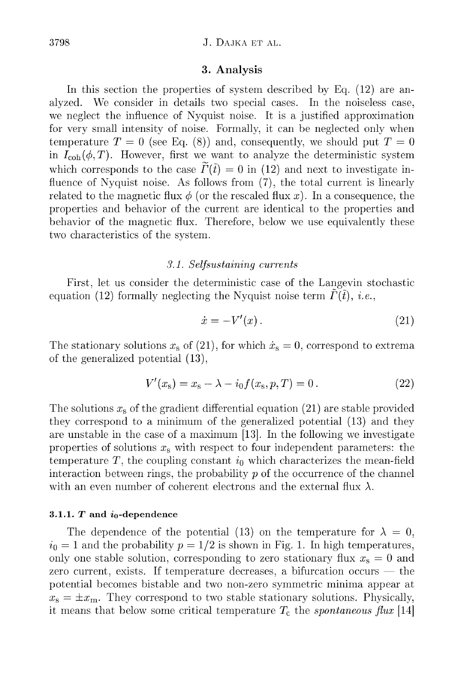## J. DAJKA ET AL.

## **3. A n alysis**

In this section the properties of system described by Eq.  $(12)$  are analyzed. We consider in details two special cases. In the noiseless case, we neglect the influence of Nyquist noise. It is a justified approximation for very sm all intensity of noise. Formally, it can be neglected only when temperature  $T = 0$  (see Eq. (8)) and, consequently, we should put  $T = 0$ in  $I_{\text{coh}}(\phi, T)$ . However, first we want to analyze the deterministic system which corresponds to the case  $\widetilde{\Gamma}(\tilde{t}) = 0$  in (12) and next to investigate influence of Nyquist noise. As follows from  $(7)$ , the total current is linearly related to the magnetic flux  $\phi$  (or the rescaled flux x). In a consequence, the properties and behavior of the current are identical to the properties and behavior of the magnetic flux. Therefore, below we use equivalently these two characteristics of the system.

## *3.1. Selfsustaining currents*

First, let us consider the deterministic case of the Langevin stochastic equation (12) formally neglecting the Nyquist noise term  $\hat{\Gamma}(\tilde{t})$ , *i.e.*,

$$
\dot{x} = -V'(x) \,. \tag{21}
$$

The stationary solutions  $x_s$  of (21), for which  $\dot{x}_s = 0$ , correspond to extrema of the generalized potential  $(13)$ ,

$$
V'(xs) = xs - \lambda - i_0 f(xs, p, T) = 0.
$$
 (22)

The solutions  $x<sub>s</sub>$  of the gradient differential equation (21) are stable provided they correspond to a minimum of the generalized potential (13) and they are unstable in the case of a maximum  $[13]$ . In the following we investigate properties of solutions  $x<sub>s</sub>$  with respect to four independent parameters: the temperature T, the coupling constant  $i_0$  which characterizes the mean-field interaction between rings, the probability  $p$  of the occurrence of the channel with an even number of coherent electrons and the external flux  $\lambda$ .

## 3.1.1.  $T$  and  $i_0$ -dependence

The dependence of the potential (13) on the temperature for  $\lambda = 0$ ,  $i_0 = 1$  and the probability  $p = 1/2$  is shown in Fig. 1. In high temperatures, only one stable solution, corresponding to zero stationary flux  $x_s = 0$  and zero current, exists. If temperature decreases, a bifurcation occurs  $-$  the potential becomes bistable and two non-zero symmetric minima appear at  $x_{\rm s} = \pm x_{\rm m}$ . They correspond to two stable stationary solutions. Physically, it means that below some critical temperature  $T_c$  the *spontaneous flux* [14]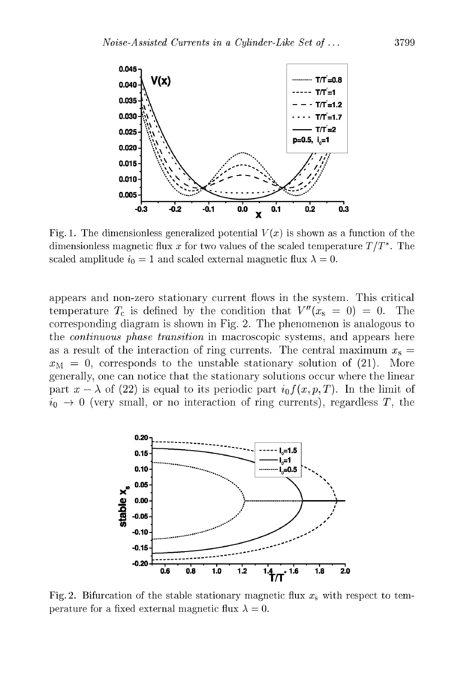

Fig. 1. The dimensionless generalized potential  $V(x)$  is shown as a function of the dimensionless magnetic flux x for two values of the scaled temperature  $T/T^*$ . The scaled amplitude  $i_0 = 1$  and scaled external magnetic flux  $\lambda = 0$ .

appears and non-zero stationary current flows in the system. This critical temperature  $T_c$  is defined by the condition that  $V''(x_s = 0) = 0$ . The corresponding diagram is shown in Fig. 2. The phenomenon is analogous to the *continuous phase transition* in macroscopic systems, and appears here as a result of the interaction of ring currents. The central maximum  $x_s =$  $x_{\text{M}} = 0$ , corresponds to the unstable stationary solution of (21). More generally, one can notice that the stationary solutions occur where the linear part  $x - \lambda$  of (22) is equal to its periodic part  $i_0 f(x, p, T)$ . In the limit of  $i_0 \rightarrow 0$  (very small, or no interaction of ring currents), regardless T, the



Fig. 2. Bifurcation of the stable stationary magnetic flux  $x_s$  with respect to temperature for a fixed external magnetic flux  $\lambda = 0$ .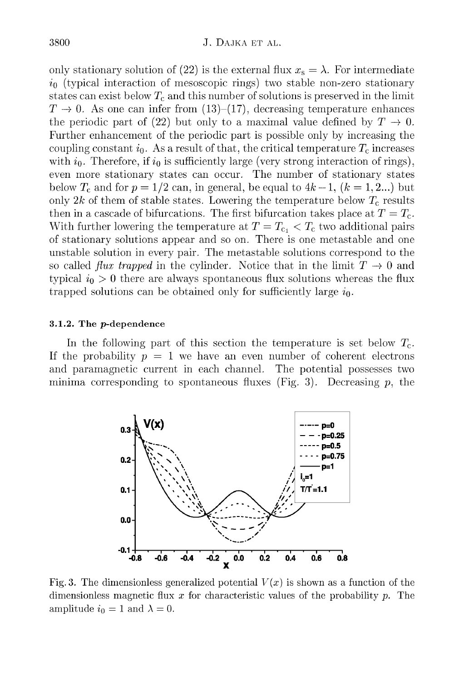only stationary solution of (22) is the external flux  $x_s = \lambda$ . For intermediate  $i_0$  (typical interaction of mesoscopic rings) two stable non-zero stationary states can exist below  $T_c$  and this number of solutions is preserved in the limit  $T \rightarrow 0$ . As one can infer from (13)–(17), decreasing temperature enhances the periodic part of (22) but only to a maximal value defined by  $T \to 0$ . Further enhancement of the periodic part is possible only by increasing the coupling constant  $i_0$ . As a result of that, the critical temperature  $T_c$  increases with  $i_0$ . Therefore, if  $i_0$  is sufficiently large (very strong interaction of rings), even more stationary states can occur. The number of stationary states below  $T_c$  and for  $p = 1/2$  can, in general, be equal to  $4k - 1$ ,  $(k = 1, 2...)$  but only  $2k$  of them of stable states. Lowering the temperature below  $T_c$  results then in a cascade of bifurcations. The first bifurcation takes place at  $T = T_c$ . With further lowering the temperature at  $T = T_{c_1} < T_c$  two additional pairs of stationary solutions appear and so on. There is one metastable and one unstable solution in every pair. The metastable solutions correspond to the so called *flux trapped* in the cylinder. Notice that in the limit  $T \to 0$  and typical  $i_0 > 0$  there are always spontaneous flux solutions whereas the flux trapped solutions can be obtained only for sufficiently large  $i_0$ .

#### 3.1.2. The  $p$ -dependence

In the following part of this section the temperature is set below  $T_c$ . If the probability  $p = 1$  we have an even number of coherent electrons and param agnetic current in each channel. The potential possesses two minima corresponding to spontaneous fluxes (Fig. 3). Decreasing  $p$ , the



Fig. 3. The dimensionless generalized potential  $V(x)$  is shown as a function of the dimensionless magnetic flux *x* for characteristic values of the probability *p.* The amplitude  $i_0 = 1$  and  $\lambda = 0$ .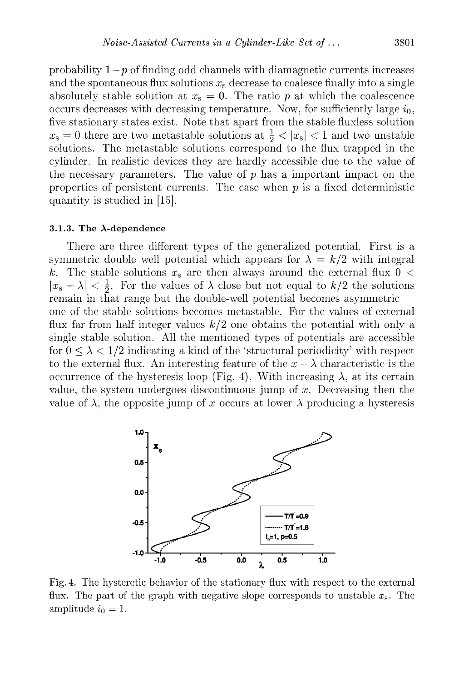probability  $1-p$  of finding odd channels with diamagnetic currents increases and the spontaneous flux solutions  $x_s$  decrease to coalesce finally into a single absolutely stable solution at  $x_s = 0$ . The ratio p at which the coalescence occurs decreases with decreasing temperature. Now, for sufficiently large  $i_0$ , five stationary states exist. Note that apart from the stable fluxless solution  $x_{\rm s} = 0$  there are two metastable solutions at  $\frac{1}{2}$  <  $|x_{\rm s}|$  < 1 and two unstable solutions. The metastable solutions correspond to the flux trapped in the cylinder. In realistic devices they are hardly accessible due to the value of the necessary parameters. The value of  $p$  has a important impact on the properties of persistent currents. The case when  $p$  is a fixed deterministic quantity is studied in [15].

#### 3.1.3. The  $\lambda$ -dependence

There are three different types of the generalized potential. First is a symmetric double well potential which appears for  $\lambda = k/2$  with integral *k*. The stable solutions  $x_s$  are then always around the external flux  $0 <$  $|x_{s} - \lambda| < \frac{1}{2}$ . For the values of  $\lambda$  close but not equal to  $k/2$  the solutions remain in that range but the double-well potential becomes asymmetric one of the stable solutions becomes metastable. For the values of external flux far from half integer values  $k/2$  one obtains the potential with only a single stable solution. All the mentioned types of potentials are accessible for  $0 \leq \lambda \leq 1/2$  indicating a kind of the 'structural periodicity' with respect to the external flux. An interesting feature of the  $x - \lambda$  characteristic is the occurrence of the hysteresis loop (Fig. 4). With increasing  $\lambda$ , at its certain value, the system undergoes discontinuous jump of x. Decreasing then the value of  $\lambda$ , the opposite jump of x occurs at lower  $\lambda$  producing a hysteresis



Fig. 4. The hysteretic behavior of the stationary flux with respect to the external flux. The part of the graph with negative slope corresponds to unstable *xs.* The amplitude  $i_0 = 1$ .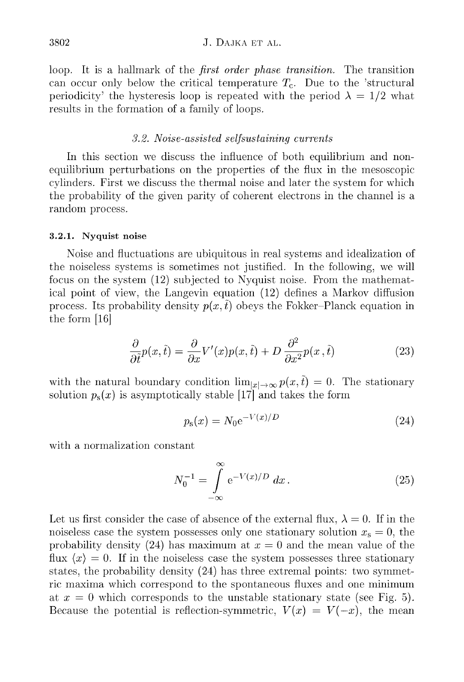loop. It is a hallmark of the *first order phase transition*. The transition can occur only below the critical temperature  $T_c$ . Due to the 'structural periodicity' the hysteresis loop is repeated with the period  $\lambda = 1/2$  what results in the formation of a family of loops.

## *3.2. N oise-assisted self sustaining currents*

In this section we discuss the influence of both equilibrium and nonequilibrium perturbations on the properties of the hux in the mesoscopic cylinders. First we discuss the thermal noise and later the system for which the probability of the given parity of coherent electrons in the channel is a random process.

## 3.2.1. Nyquist noise

Noise and huctuations are ubiquitous in real systems and idealization of the noiseless systems is sometimes not justified. In the following, we will focus on the system (12) subjected to Nyquist noise. From the mathematical point of view, the Langevin equation (12) defines a Markov diffusion process. Its probability density  $p(x, \hat{t})$  obeys the Fokker-Planck equation in the form [16]

$$
\frac{\partial}{\partial \tilde{t}}p(x,\tilde{t}) = \frac{\partial}{\partial x}V'(x)p(x,\tilde{t}) + D \frac{\partial^2}{\partial x^2}p(x,\tilde{t})
$$
\n(23)

with the natural boundary condition  $\lim_{|x| \to \infty} p(x, \tilde{t}) = 0$ . The stationary solution  $p_s(x)$  is asymptotically stable [17] and takes the form

$$
p_{\rm s}(x) = N_0 e^{-V(x)/D} \tag{24}
$$

with a normalization constant

$$
N_0^{-1} = \int_{-\infty}^{\infty} e^{-V(x)/D} dx.
$$
 (25)

Let us first consider the case of absence of the external flux,  $\lambda = 0$ . If in the noiseless case the system possesses only one stationary solution  $x_s = 0$ , the probability density (24) has maximum at  $x = 0$  and the mean value of the flux  $\langle x \rangle = 0$ . If in the noiseless case the system possesses three stationary states, the probability density  $(24)$  has three extremal points: two symmetric m axima which correspond to the spontaneous fluxes and one minimum at  $x = 0$  which corresponds to the unstable stationary state (see Fig. 5). Because the potential is reflection-symmetric,  $V(x) = V(-x)$ , the mean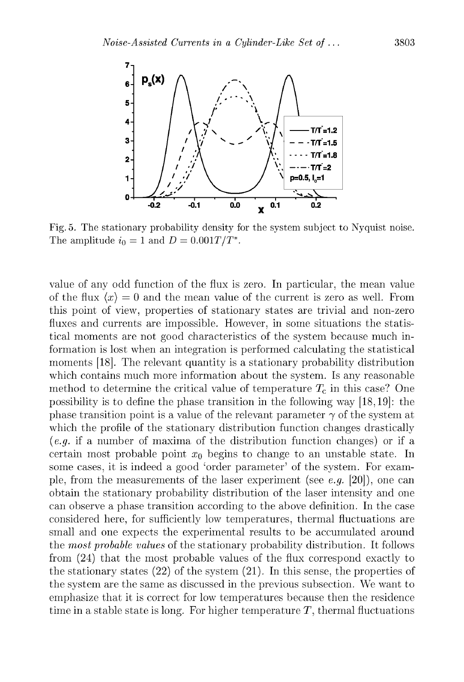

Fig. 5. The stationary probability density for the system subject to Nyquist noise. The amplitude  $i_0 = 1$  and  $D = 0.001T/T^*$ .

value of any odd function of the flux is zero. In particular, the mean value of the flux  $\langle x \rangle = 0$  and the mean value of the current is zero as well. From this point of view, properties of stationary states are trivial and non-zero fluxes and currents are impossible. However, in some situations the statistical moments are not good characteristics of the system because much inform ation is lost when an integration is performed calculating the statistical moments [18]. The relevant quantity is a stationary probability distribution which contains much more information about the system. Is any reasonable method to determine the critical value of temperature  $T_c$  in this case? One possibility is to define the phase transition in the following way [18,19]: the phase transition point is a value of the relevant parameter  $\gamma$  of the system at which the profile of the stationary distribution function changes drastically  $(e,q)$  if a number of maxima of the distribution function changes) or if a certain most probable point  $x_0$  begins to change to an unstable state. In some cases, it is indeed a good 'order parameter' of the system. For example, from the measurements of the laser experiment (see *e.g.* [20]), one can obtain the stationary probability distribution of the laser intensity and one can observe a phase transition according to the above definition. In the case considered here, for sufficiently low temperatures, thermal fluctuations are small and one expects the experimental results to be accumulated around the *m ost probable values* of the stationary probability distribution. It follows from  $(24)$  that the most probable values of the flux correspond exactly to the stationary states  $(22)$  of the system  $(21)$ . In this sense, the properties of the system are the same as discussed in the previous subsection. We want to emphasize that it is correct for low temperatures because then the residence time in a stable state is long. For higher temperature  $T$ , thermal fluctuations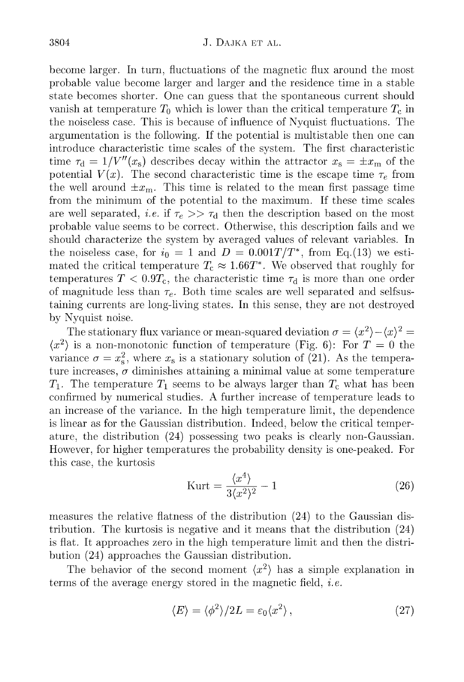become larger. In turn, fluctuations of the magnetic flux around the most probable value become larger and larger and the residence time in a stable state becomes shorter. One can guess that the spontaneous current should vanish at temperature  $T_0$  which is lower than the critical temperature  $T_c$  in the noiseless case. This is because of influence of Nvquist fluctuations. The argum entation is the following. If the potential is multistable then one can introduce characteristic time scales of the system. The first characteristic time  $\tau_{\rm d} = 1/V''(x_{\rm s})$  describes decay within the attractor  $x_{\rm s} = \pm x_{\rm m}$  of the potential  $V(x)$ . The second characteristic time is the escape time  $\tau_e$  from the well around  $\pm x_{\rm m}$ . This time is related to the mean first passage time from the minimum of the potential to the maximum. If these time scales are well separated, *i.e.* if  $\tau_e \gg \tau_d$  then the description based on the most probable value seems to be correct. Otherwise, this description fails and we should characterize the system by averaged values of relevant variables. In the noiseless case, for  $i_0 = 1$  and  $D = 0.001T/T^*$ , from Eq.(13) we estimated the critical temperature  $T_c \approx 1.66T^*$ . We observed that roughly for temperatures  $T < 0.9T_c$ , the characteristic time  $\tau_d$  is more than one order of magnitude less than  $\tau_e$ . Both time scales are well separated and selfsustaining currents are long-living states. In this sense, they are not destroyed by Nvquist noise.

The stationary flux variance or mean-squared deviation  $\sigma = \langle x^2 \rangle - \langle x \rangle^2 =$  $\langle x^2 \rangle$  is a non-monotonic function of temperature (Fig. 6): For  $T=0$  the variance  $\sigma = x_s^2$ , where  $x_s$  is a stationary solution of (21). As the temperature increases,  $\sigma$  diminishes attaining a minimal value at some temperature  $T_1$ . The temperature  $T_1$  seems to be always larger than  $T_c$  what has been confirmed by numerical studies. A further increase of temperature leads to an increase of the variance. In the high tem perature limit, the dependence is linear as for the Gaussian distribution. Indeed, below the critical temperature, the distribution (24) possessing two peaks is clearly non-Gaussian. However, for higher temperatures the probability density is one-peaked. For this case, the kurtosis

$$
\text{Kurt} = \frac{\langle x^4 \rangle}{3\langle x^2 \rangle^2} - 1 \tag{26}
$$

measures the relative flatness of the distribution (24) to the Gaussian distribution. The kurtosis is negative and it means that the distribution  $(24)$ is flat. It approaches zero in the high temperature limit and then the distribution (24) approaches the Gaussian distribution.

The behavior of the second moment  $\langle x^2 \rangle$  has a simple explanation in terms of the average energy stored in the magnetic field, *i.e.* 

$$
\langle E \rangle = \langle \phi^2 \rangle / 2L = \varepsilon_0 \langle x^2 \rangle \,, \tag{27}
$$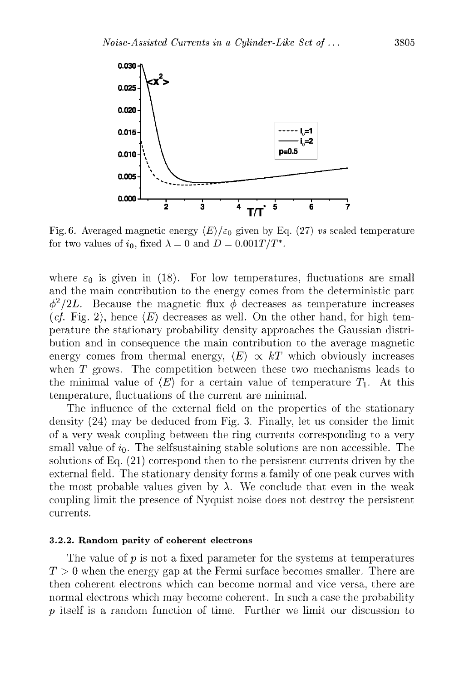

Fig. 6. Averaged magnetic energy  $\langle E \rangle / \varepsilon_0$  given by Eq. (27) *vs* scaled temperature for two values of  $i_0$ , fixed  $\lambda = 0$  and  $D = 0.001T/T^*$ .

where  $\varepsilon_0$  is given in (18). For low temperatures, fluctuations are small and the main contribution to the energy comes from the deterministic part  $\phi^2/2L$ . Because the magnetic flux  $\phi$  decreases as temperature increases (*cf.* Fig. 2), hence  $\langle E \rangle$  decreases as well. On the other hand, for high temperature the stationary probability density approaches the Gaussian distribution and in consequence the main contribution to the average magnetic energy comes from thermal energy,  $\langle E \rangle \propto kT$  which obviously increases when  $T$  grows. The competition between these two mechanisms leads to the minimal value of  $\langle E \rangle$  for a certain value of temperature  $T_1$ . At this tem perature, fluctuations of the current are minimal.

The influence of the external field on the properties of the stationary density (24) may be deduced from Fig. 3. Finally, let us consider the limit of a very weak coupling between the ring currents corresponding to a very small value of  $i_0$ . The selfsustaining stable solutions are non accessible. The solutions of Eq. (21) correspond then to the persistent currents driven by the external field. The stationary density forms a family of one peak curves with the most probable values given by  $\lambda$ . We conclude that even in the weak coupling limit the presence of Nvquist noise does not destroy the persistent currents.

## 3.2.2. Random parity of coherent electrons

The value of  $p$  is not a fixed parameter for the systems at temperatures *T >* 0 when the energy gap at the Fermi surface becomes smaller. There are then coherent electrons which can become normal and vice versa, there are normal electrons which may become coherent. In such a case the probability *p* itself is a random function of time. Further we limit our discussion to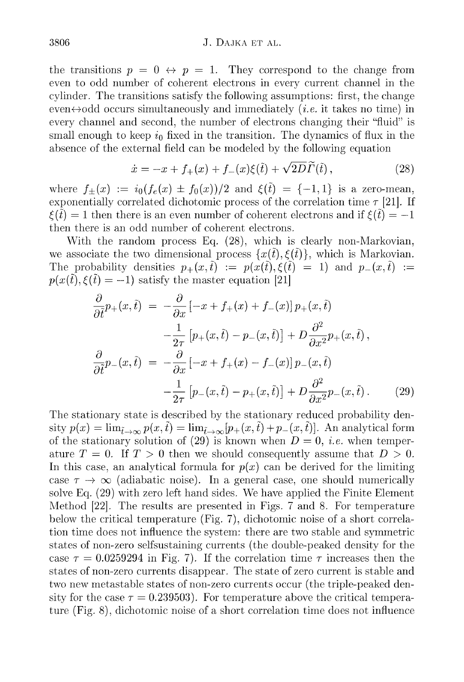## J. DAJKA ET AL.

the transitions  $p = 0 \leftrightarrow p = 1$ . They correspond to the change from even to odd num ber of coherent electrons in every current channel in the cylinder. The transitions satisfy the following assumptions: first, the change even $\leftrightarrow$ odd occurs simultaneously and immediately *(i.e.* it takes no time) in every channel and second, the number of electrons changing their "fluid" is small enough to keep  $i_0$  fixed in the transition. The dynamics of flux in the absence of the external field can be modeled by the following equation

$$
\dot{x} = -x + f_{+}(x) + f_{-}(x)\xi(\tilde{t}) + \sqrt{2D}\tilde{\Gamma}(\tilde{t}), \qquad (28)
$$

where  $f_+(x) := i_0(f_e(x) \pm f_0(x))/2$  and  $\xi(\tilde{t}) = \{-1,1\}$  is a zero-mean, exponentially correlated dichotomic process of the correlation time  $\tau$  [21]. If  $f(\tilde{t}) = 1$  then there is an even number of coherent electrons and if  $f(\tilde{t}) = -1$ then there is an odd number of coherent electrons.

With the random process Eq.  $(28)$ , which is clearly non-Markovian, we associate the two dimensional process  $\{x(\tilde{t}),\xi(\tilde{t})\}\$ , which is Markovian. The probability densities  $p_+(x, \tilde{t}) := p(x(\tilde{t}), \xi(\tilde{t}) = 1)$  and  $p_-(x, \tilde{t}) :=$  $p(x(\tilde{t}),\xi(\tilde{t})=-1)$  satisfy the master equation [21]

$$
\frac{\partial}{\partial \tilde{t}}p_{+}(x,\tilde{t}) = -\frac{\partial}{\partial x}\left[-x+f_{+}(x)+f_{-}(x)\right]p_{+}(x,\tilde{t})
$$
\n
$$
-\frac{1}{2\tau}\left[p_{+}(x,\tilde{t})-p_{-}(x,\tilde{t})\right]+D\frac{\partial^{2}}{\partial x^{2}}p_{+}(x,\tilde{t}),
$$
\n
$$
\frac{\partial}{\partial \tilde{t}}p_{-}(x,\tilde{t}) = -\frac{\partial}{\partial x}\left[-x+f_{+}(x)-f_{-}(x)\right]p_{-}(x,\tilde{t})
$$
\n
$$
-\frac{1}{2\tau}\left[p_{-}(x,\tilde{t})-p_{+}(x,\tilde{t})\right]+D\frac{\partial^{2}}{\partial x^{2}}p_{-}(x,\tilde{t}).
$$
\n(29)

The stationary state is described by the stationary reduced probability density  $p(x) = \lim_{\tilde{t}\to\infty} p(x,\tilde{t}) = \lim_{\tilde{t}\to\infty} [p_+(x,\tilde{t}) + p_-(x,\tilde{t})].$  An analytical form of the stationary solution of (29) is known when  $D = 0$ , *i.e.* when temperature  $T = 0$ . If  $T > 0$  then we should consequently assume that  $D > 0$ . In this case, an analytical formula for  $p(x)$  can be derived for the limiting case  $\tau \to \infty$  (adiabatic noise). In a general case, one should numerically solve Eq.  $(29)$  with zero left hand sides. We have applied the Finite Element Method  $[22]$ . The results are presented in Figs. 7 and 8. For temperature below the critical temperature (Fig. 7), dichotomic noise of a short correlation time does not influence the system: there are two stable and symmetric states of non-zero selfsustaining currents (the double-peaked density for the case  $\tau = 0.0259294$  in Fig. 7). If the correlation time  $\tau$  increases then the states of non-zero currents disappear. The state of zero current is stable and two new metastable states of non-zero currents occur (the triple-peaked density for the case  $\tau = 0.239503$ . For temperature above the critical temperature (Fig. 8), dichotomic noise of a short correlation time does not influence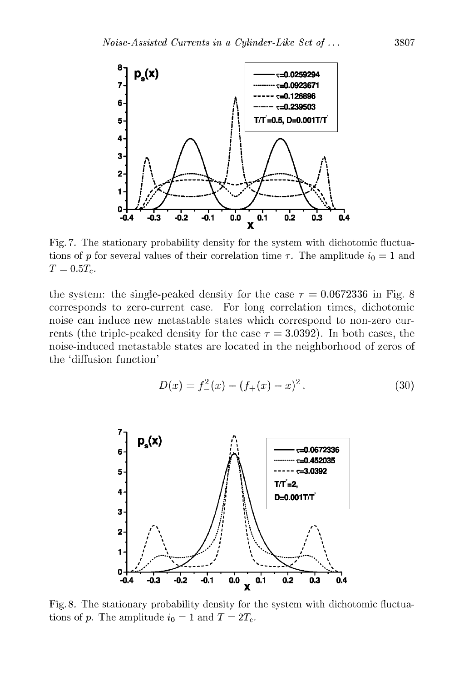

Fig. 7. The stationary probability density for the system with dichotomic fluctuations of *p* for several values of their correlation time  $\tau$ . The amplitude  $i_0 = 1$  and  $T = 0.5 T_c$ .

the system: the single-peaked density for the case  $\tau = 0.0672336$  in Fig. 8 corresponds to zero-current case. For long correlation times, dichotomic noise can induce new metastable states which correspond to non-zero currents (the triple-peaked density for the case  $\tau = 3.0392$ ). In both cases, the noise-induced metastable states are located in the neighborhood of zeros of the 'diffusion function'

$$
D(x) = f_{-}^{2}(x) - (f_{+}(x) - x)^{2}.
$$
 (30)



Fig. 8. The stationary probability density for the system with dichotomic fluctuations of *p*. The amplitude  $i_0 = 1$  and  $T = 2T_c$ .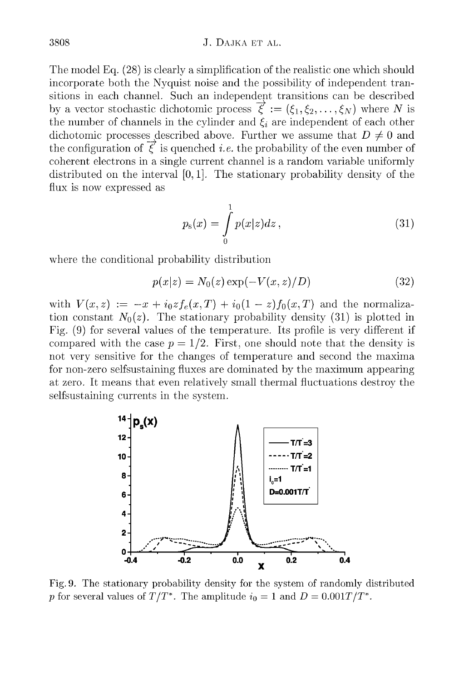## J. DAJKA ET AL.

The model Eq. (28) is clearly a simplification of the realistic one which should incorporate both the Nvquist noise and the possibility of independent tran sitions in each channel. Such an independent transitions can be described by a vector stochastic dichotomic process  $\vec{\xi} := (\xi_1, \xi_2, \dots, \xi_N)$  where *N* is the number of channels in the cylinder and  $\xi_i$  are independent of each other dichotomic processes described above. Further we assume that  $D \neq 0$  and the configuration of  $\vec{\xi}$  is quenched *i.e.* the probability of the even number of coherent electrons in a single current channel is a random variable uniformly distributed on the interval [0,1]. The stationary probability density of the flux is now expressed as

$$
p_{s}(x) = \int_{0}^{1} p(x|z)dz , \qquad (31)
$$

where the conditional probability distribution

$$
p(x|z) = N_0(z) \exp(-V(x, z)/D)
$$
\n
$$
(32)
$$

with  $V(x, z) := -x + i_0 z f_e(x, T) + i_0 (1 - z) f_0(x, T)$  and the normalization constant  $N_0(z)$ . The stationary probability density (31) is plotted in Fig. (9) for several values of the temperature. Its profile is very different if compared with the case  $p = 1/2$ . First, one should note that the density is not very sensitive for the changes of temperature and second the maxima for non-zero selfsustaining fluxes are dominated by the maximum appearing at zero. It means that even relatively small thermal fluctuations destroy the selfsustaining currents in the system.



Fig. 9. The stationary probability density for the system of randomly distributed *p* for several values of  $T/T^*$ . The amplitude  $i_0 = 1$  and  $D = 0.001T/T^*$ .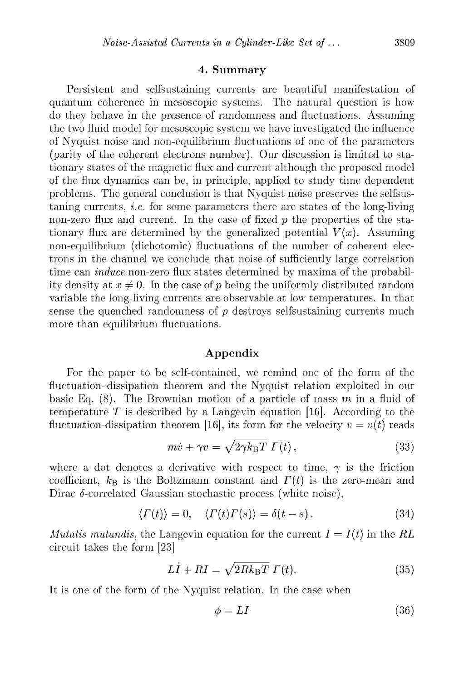## **4. Sum m ary**

Persistent and selfsustaining currents are beautiful manifestation of quantum coherence in mesoscopic systems. The natural question is how do they behave in the presence of randomness and fluctuations. Assuming the two fluid model for mesoscopic system we have investigated the influence of N vquist noise and non-equilibrium fluctuations of one of the parameters (parity of the coherent electrons number). Our discussion is limited to stationary states of the magnetic flux and current although the proposed model of the flux dynamics can be, in principle, applied to study time dependent problems. The general conclusion is that Nyquist noise preserves the selfsustaning currents, *i.e.* for some parameters there are states of the long-living non-zero flux and current. In the case of fixed p the properties of the stationary flux are determined by the generalized potential  $V(x)$ . Assuming non-equilibrium (dichotomic) fluctuations of the number of coherent electrons in the channel we conclude that noise of sufficiently large correlation time can *induce* non-zero flux states determined by maxima of the probability density at  $x \neq 0$ . In the case of p being the uniformly distributed random variable the long-living currents are observable at low temperatures. In that sense the quenched randomness of  $p$  destroys selfsustaining currents much more than equilibrium fluctuations.

## **A p p en d ix**

For the paper to be self-contained, we remind one of the form of the fluctuation-dissipation theorem and the N vquist relation exploited in our basic Eq.  $(8)$ . The Brownian motion of a particle of mass  $m$  in a fluid of temperature  $T$  is described by a Langevin equation [16]. According to the fluctuation-dissipation theorem [16], its form for the velocity  $v = v(t)$  reads

$$
m\dot{v} + \gamma v = \sqrt{2\gamma k_{\rm B}T} \Gamma(t) \,, \tag{33}
$$

where a dot denotes a derivative with respect to time,  $\gamma$  is the friction coefficient,  $k_B$  is the Boltzmann constant and  $\Gamma(t)$  is the zero-mean and Dirac  $\delta$ -correlated Gaussian stochastic process (white noise),

$$
\langle \Gamma(t) \rangle = 0, \quad \langle \Gamma(t) \Gamma(s) \rangle = \delta(t - s). \tag{34}
$$

*Mutatis mutandis,* the Langevin equation for the current  $I = I(t)$  in the RL circuit takes the form [23]

$$
L\dot{I} + RI = \sqrt{2Rk_{\rm B}T} \; \Gamma(t). \tag{35}
$$

It is one of the form of the Nyquist relation. In the case when

$$
\phi = LI \tag{36}
$$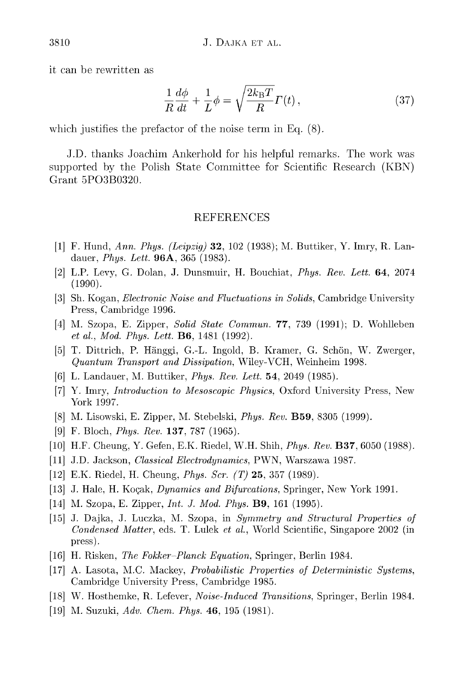it can be rewritten as

$$
\frac{1}{R}\frac{d\phi}{dt} + \frac{1}{L}\phi = \sqrt{\frac{2k_{\rm B}T}{R}}\Gamma(t)\,,\tag{37}
$$

which justifies the prefactor of the noise term in Eq.  $(8)$ .

J.D. thanks Joachim Ankerhold for his helpful remarks. The work was supported by the Polish State Committee for Scientific Research (KBN) Grant 5PO3B0320.

## REFERENCES

- (1] F. Hund, *Ann. Phys. (Leipzig) 32,* 102 (1938); M. Buttiker, Y. **Imry,** R. Landauer, *Phys. Lett.* 96A, 365 (1983).
- (2] L.P. Levy, G. Dolan, J. Dunsmuir, H. Bouchiat, *Phys. Rev. Lett.* 64, 2074 (1990).
- (3] Sh. Kogan, *Electronic Noise and Fluctuations in Solids,* Cambridge University Press, Cambridge 1996.
- (4] M. Szopa, E. Zipper, *Solid State Commun. 77,* 739 (1991); D. Wohlleben *et al., Mod. Phys. Lett.* **B6**, 1481 (1992).
- (5] T. Dittrich, P. Hänggi, G.-L. Ingold, B. Kramer, G. Schön, W. Zwerger, *Quantum Transport and Dissipation,* Wiley-VCH, Weinheim 1998.
- (6] L. Landauer, M. Buttiker, *Phys. Rev. Lett.* 54, 2049 (1985).
- (7] Y. Imry, *Introduction to Mesoscopic Physics,* Oxford University Press, New York 1997.
- (8] M. Lisowski, E. Zipper, M. Stebelski, *Phys. Rev.* B59, 8305 (1999).
- [9j F. Bloch, *Phys. Rev.* 137, 787 (1965).
- (lOj H.F. Cheung, Y. Gefen, E.K. Riedel, W.H. Shih, *Phys. Rev.* B37, 6050 (1988).
- [11] J.D. Jackson, *Classical Electrodynamics,* PWN, Warszawa 1987.
- [12] E.K. Riedel, H. Cheung, *Phys. Ser. (T)* 25, 357 (1989).
- [13] J. Hale, H. Kogak, *Dynamics and Bifurcations,* Springer, New York 1991.
- [14] M. Szopa, E. Zipper, *Int. J. Mod. Phys.* B9, 161 (1995).
- [15] J. Dajka, J. Luczka, M. Szopa, in *Symmetry and Structural Properties of Condensed Matter,* eds. T. Lulek *et al.,* World Scientific, Singapore 2002 (in press).
- [16] H. Risken, *The Fokker Planck Equation,* Springer, Berlin 1984.
- [17] A. Lasota, M.C. Mackey, *Probabilistic Properties of Deterministic Systems,* Cambridge University Press, Cambridge 1985.
- [18] W. Hosthemke, R. Lefever, *Noise-Induced Transitions,* Springer, Berlin 1984.
- [19] M. Suzuki, *Adv. Chem. Phys.* 46, 195 (1981).